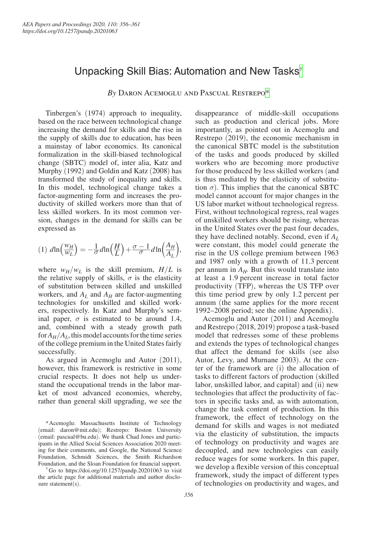# Unpacking Skill Bias: Automation and New Tasks[†](#page-0-0)

*By* Daron Acemoglu and Pascual Restrepo[\\*](#page-0-1)

Tinbergen's (1974) approach to inequality, based on the race between technological change increasing the demand for skills and the rise in the supply of skills due to education, has been a mainstay of labor economics. Its canonical formalization in the skill-biased technological change (SBTC) model of, inter alia, Katz and Murphy (1992) and Goldin and Katz (2008) has transformed the study of inequality and skills. In this model, technological change takes a factor-augmenting form and increases the productivity of skilled workers more than that of less skilled workers. In its most common version, changes in the demand for skills can be expressed as

$$
\text{expressed as}
$$
\n
$$
(1) \ d \ln \left( \frac{w_H}{w_L} \right) = -\frac{1}{\sigma} d \ln \left( \frac{H}{L} \right) + \frac{\sigma - 1}{\sigma} d \ln \left( \frac{A_H}{A_L} \right),
$$

where  $w_H/w_L$  is the skill premium,  $H/L$  is the relative supply of skills,  $\sigma$  is the elasticity of substitution between skilled and unskilled workers, and  $A_L$  and  $A_H$  are factor-augmenting technologies for unskilled and skilled workers, respectively. In Katz and Murphy's seminal paper,  $\sigma$  is estimated to be around 1.4, and, combined with a steady growth path for  $A_H/A_I$ , this model accounts for the time series of the college premium in the United States fairly successfully.

As argued in Acemoglu and Autor (2011), however, this framework is restrictive in some crucial respects. It does not help us understand the occupational trends in the labor market of most advanced economies, whereby, rather than general skill upgrading, we see the

<span id="page-0-1"></span>\*Acemoglu: Massachusetts Institute of Technology (email: [daron@mit.edu](mailto:daron@mit.edu)); Restrepo: Boston University (email: [pascual@bu.edu](mailto:pascual@bu.edu)). We thank Chad Jones and participants in the Allied Social Sciences Association 2020 meeting for their comments, and Google, the National Science Foundation, Schmidt Sciences, the Smith Richardson Foundation, and the Sloan Foundation for financial support.

<span id="page-0-0"></span>†Go to <https://doi.org/10.1257/pandp.20201063>to visit the article page for additional materials and author disclosure statement(s).

disappearance of middle-skill occupations such as production and clerical jobs. More importantly, as pointed out in Acemoglu and Restrepo (2019), the economic mechanism in the canonical SBTC model is the substitution of the tasks and goods produced by skilled workers who are becoming more productive for those produced by less skilled workers (and is thus mediated by the elasticity of substitution  $\sigma$ ). This implies that the canonical SBTC model cannot account for major changes in the US labor market without technological regress. First, without technological regress, real wages of unskilled workers should be rising, whereas in the United States over the past four decades, they have declined notably. Second, even if *AL* were constant, this model could generate the rise in the US college premium between 1963 and 1987 only with a growth of 11.3 percent per annum in  $A_H$ . But this would translate into at least a 1.9 percent increase in total factor productivity (TFP), whereas the US TFP over this time period grew by only 1.2 percent per annum (the same applies for the more recent 1992–2008 period; see the online Appendix).

Acemoglu and Autor (2011) and Acemoglu and Restrepo (2018, 2019) propose a task-based model that redresses some of these problems and extends the types of technological changes that affect the demand for skills (see also Autor, Levy, and Murnane 2003). At the center of the framework are (i) the allocation of tasks to different factors of production (skilled labor, unskilled labor, and capital) and (ii) new technologies that affect the productivity of factors in specific tasks and, as with automation, change the task content of production. In this framework, the effect of technology on the demand for skills and wages is not mediated via the elasticity of substitution, the impacts of technology on productivity and wages are decoupled, and new technologies can easily reduce wages for some workers. In this paper, we develop a flexible version of this conceptual framework, study the impact of different types of technologies on productivity and wages, and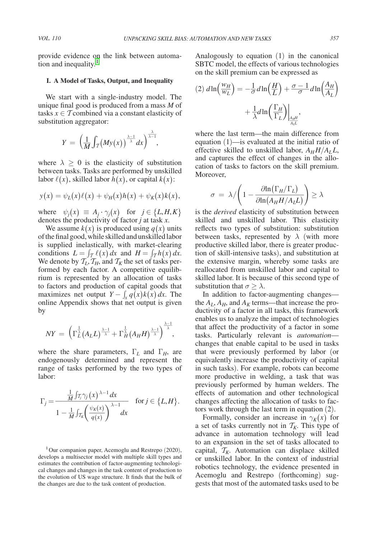provide evidence on the link between automation and inequality.<sup>1</sup>

#### **I. A Model of Tasks, Output, and Inequality**

We start with a single-industry model. The unique final good is produced from a mass *M* of tasks  $x \in \mathcal{T}$  combined via a constant elasticity of substitution aggregator:

substitution aggregation:  
\n
$$
Y = \left(\frac{1}{M} \int_{T} (My(x))^{\frac{\lambda - 1}{\lambda}} dx\right)^{\frac{\lambda}{\lambda - 1}},
$$

where  $\lambda \geq 0$  is the elasticity of substitution between tasks. Tasks are performed by unskilled labor  $\ell(x)$ , skilled labor  $h(x)$ , or capital  $k(x)$ :

$$
y(x) = \psi_L(x)\ell(x) + \psi_H(x)h(x) + \psi_K(x)k(x),
$$

where  $\psi_j(x) \equiv A_j \cdot \gamma_j(x)$  for  $j \in \{L, H, K\}$ denotes the productivity of factor *j* at task *x*.

We assume  $k(x)$  is produced using  $q(x)$  units of the final good, while skilled and unskilled labor is supplied inelastically, with market-clearing conditions  $L = \int_{\mathcal{T}} \ell(x) dx$  and  $H = \int_{\mathcal{T}} h(x) dx$ . We denote by  $\mathcal{T}_L, \mathcal{T}_H$ , and  $\mathcal{T}_K$  the set of tasks performed by each factor. A competitive equilibrium is represented by an allocation of tasks to factors and production of capital goods that maximizes net output  $Y - \int_{x}^{x} q(x)k(x) dx$ . The online Appendix shows that net output is given by

$$
NY = \left(\Gamma_L^{\frac{1}{\lambda}}(A_L L)^{\frac{\lambda-1}{\lambda}} + \Gamma_H^{\frac{1}{\lambda}}(A_H H)^{\frac{\lambda-1}{\lambda}}\right)^{\frac{\lambda-1}{\lambda}},
$$

where the share parameters, Γ*L* and Γ*H*, are endogenously determined and represent the range of tasks performed by the two types of labor:

$$
\Gamma_j = \frac{\frac{1}{M} \int_{\mathcal{T}_j} \gamma_j(x)^{\lambda - 1} dx}{1 - \frac{1}{M} \int_{\mathcal{T}_k} \left(\frac{\psi_K(x)}{q(x)}\right)^{\lambda - 1}} \quad \text{for } j \in \{L, H\}.
$$

 $1$ Our companion paper, Acemoglu and Restrepo  $(2020)$ , develops a multisector model with multiple skill types and estimates the contribution of factor-augmenting technological changes and changes in the task content of production to the evolution of US wage structure. It finds that the bulk of the changes are due to the task content of production.

Analogously to equation (1) in the canonical SBTC model, the effects of various technologies SBTC model, the effects of various technon<br>on the skill premium can be expressed as<br> $(2) d\ln\left(\frac{w_H}{w_L}\right) = -\frac{1}{\sigma} d\ln\left(\frac{H}{L}\right) + \frac{\sigma - 1}{\sigma} d\ln\left(\frac{H}{L}\right)$ 

$$
(2) \ d\ln\left(\frac{w_H}{w_L}\right) = -\frac{1}{\sigma} d\ln\left(\frac{H}{L}\right) + \frac{\sigma - 1}{\sigma} d\ln\left(\frac{A_H}{A_L}\right)
$$

$$
+ \frac{1}{\lambda} d\ln\left(\frac{\Gamma_H}{\Gamma_L}\right)\Big|_{\frac{A_H}{A_L}},
$$

where the last term—the main difference from equation (1)—is evaluated at the initial ratio of effective skilled to unskilled labor,  $A_H H/A_L L$ , and captures the effect of changes in the allocation of tasks to factors on the skill premium. Moreover,

Moreover,  
\n
$$
\sigma = \lambda / \left(1 - \frac{\partial \ln(\Gamma_H / \Gamma_L)}{\partial \ln(A_H H / A_L L)}\right) \ge \lambda
$$

is the *derived* elasticity of substitution between skilled and unskilled labor. This elasticity reflects two types of substitution: substitution between tasks, represented by  $\lambda$  (with more productive skilled labor, there is greater production of skill-intensive tasks), and substitution at the extensive margin, whereby some tasks are reallocated from unskilled labor and capital to skilled labor. It is because of this second type of substitution that  $\sigma \geq \lambda$ .

In addition to factor-augmenting changes the  $A_L$ ,  $A_H$ , and  $A_K$  terms—that increase the productivity of a factor in all tasks, this framework enables us to analyze the impact of technologies that affect the productivity of a factor in some tasks. Particularly relevant is *automation* changes that enable capital to be used in tasks that were previously performed by labor (or equivalently increase the productivity of capital in such tasks). For example, robots can become more productive in welding, a task that was previously performed by human welders. The effects of automation and other technological changes affecting the allocation of tasks to factors work through the last term in equation (2).

Formally, consider an increase in  $\gamma_K(x)$  for a set of tasks currently not in  $T_K$ . This type of advance in automation technology will lead to an expansion in the set of tasks allocated to capital,  $T_K$ . Automation can displace skilled or unskilled labor. In the context of industrial robotics technology, the evidence presented in Acemoglu and Restrepo (forthcoming) suggests that most of the automated tasks used to be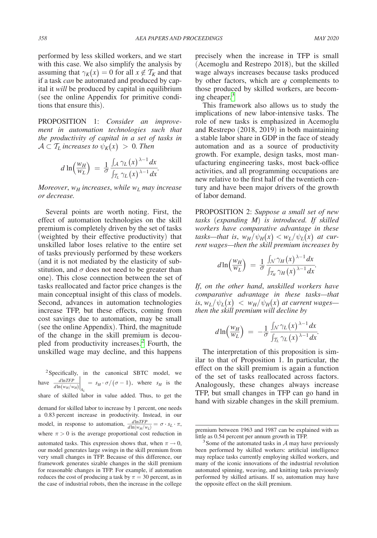performed by less skilled workers, and we start with this case. We also simplify the analysis by assuming that  $\gamma_K(x) = 0$  for all  $x \notin \mathcal{T}_K$  and that if a task *can* be automated and produced by capital it *will* be produced by capital in equilibrium (see the online Appendix for primitive conditions that ensure this).

PROPOSITION 1: *Consider an improvement in automation technologies such that the productivity of capital in a set of tasks in*

$$
\mathcal{A} \subset \mathcal{T}_L \text{ increases to } \psi_K(x) > 0. \text{ Then}
$$
\n
$$
d \ln \left( \frac{w_H}{w_L} \right) = \frac{1}{\sigma} \frac{\int_A \gamma_L(x)^{\lambda - 1} dx}{\int_{\mathcal{T}_L} \gamma_L(x)^{\lambda - 1} dx}.
$$

*Moreover,*  $w_H$  increases, while  $w_L$  may increase *or decrease.*

Several points are worth noting. First, the effect of automation technologies on the skill premium is completely driven by the set of tasks (weighted by their effective productivity) that unskilled labor loses relative to the entire set of tasks previously performed by these workers (and it is not mediated by the elasticity of substitution, and  $\sigma$  does not need to be greater than one). This close connection between the set of tasks reallocated and factor price changes is the main conceptual insight of this class of models. Second, advances in automation technologies increase TFP, but these effects, coming from cost savings due to automation, may be small (see the online Appendix). Third, the magnitude of the change in the skill premium is decoupled from productivity increases.[2](#page-2-0) Fourth, the unskilled wage may decline, and this happens

<span id="page-2-0"></span><sup>2</sup>Specifically, in the canonical SBTC model, we pled from productivity increases.<sup>2</sup> Fourth, the<br>
unskilled wage may decline, and this happens<br>
<sup>2</sup> Specifically, in the canonical SBTC model, we<br>
have  $\frac{dlnTFP}{dln(w_H/w_H)}\Big|_{A_L} = s_H \cdot \sigma/(\sigma - 1)$ , where  $s_H$  is the share of skilled labor in value added. Thus, to get the demand for skilled labor to increase by 1 percent, one needs a 0.83 percent increase in productivity. Instead, in our  $d\ln(w_H/w_H)|_{A_L}$   $H^{-\sigma}/(e^{-\sigma})$ , where  $\sigma_H$  and  $\sigma$ <br>share of skilled labor in value added. Thus, to get the<br>demand for skilled labor to increase by 1 percent, one needs<br>a 0.83 percent increase in productivity. Instead, in where  $\pi > 0$  is the average proportional cost reduction in automated tasks. This expression shows that, when  $\pi \rightarrow 0$ , our model generates large swings in the skill premium from very small changes in TFP. Because of this difference, our framework generates sizable changes in the skill premium for reasonable changes in TFP. For example, if automation reduces the cost of producing a task by  $\pi = 30$  percent, as in the case of industrial robots, then the increase in the college

precisely when the increase in TFP is small (Acemoglu and Restrepo 2018), but the skilled wage always increases because tasks produced by other factors, which are *q* complements to those produced by skilled workers, are becom-ing cheaper.<sup>[3](#page-2-1)</sup>

This framework also allows us to study the implications of new labor-intensive tasks. The role of new tasks is emphasized in Acemoglu and Restrepo (2018, 2019) in both maintaining a stable labor share in GDP in the face of steady automation and as a source of productivity growth. For example, design tasks, most manufacturing engineering tasks, most back-office activities, and all programming occupations are new relative to the first half of the twentieth century and have been major drivers of the growth of labor demand.

PROPOSITION 2: *Suppose a small set of new tasks* (*expanding M*) *is introduced. If skilled workers have comparative advantage in these tasks—that is,*  $w_H/\psi_H(x) < w_L/\psi_L(x)$  *at cur-*

rent wages—then the skill premium increases by  
\n
$$
d\ln\left(\frac{w_H}{w_L}\right) = \frac{1}{\sigma} \frac{\int \sqrt{\gamma_H(x)}^{\lambda-1} dx}{\int \int \int \sqrt{H(x)} dx}
$$

*If*, *on the other hand*, *unskilled workers have comparative advantage in these tasks—that is*,  $w_L / \psi_L(x)$   $\langle$   $w_H / \psi_H(x)$  *at current wages*—

then the skill premium will decline by  
\n
$$
d\ln\left(\frac{w_H}{w_L}\right) = -\frac{1}{\sigma} \frac{\int_N \gamma_L(x)^{\lambda-1} dx}{\int_{\mathcal{T}_L} \gamma_L(x)^{\lambda-1} dx}.
$$

The interpretation of this proposition is similar to that of Proposition 1. In particular, the effect on the skill premium is again a function of the set of tasks reallocated across factors. Analogously, these changes always increase TFP, but small changes in TFP can go hand in hand with sizable changes in the skill premium.

premium between 1963 and 1987 can be explained with as

<span id="page-2-1"></span>little as 0.54 percent per annum growth in TFP.<br><sup>3</sup>Some of the automated tasks in  $\mathcal A$  may have previously been performed by skilled workers: artificial intelligence may replace tasks currently employing skilled workers, and many of the iconic innovations of the industrial revolution automated spinning, weaving, and knitting tasks previously performed by skilled artisans. If so, automation may have the opposite effect on the skill premium.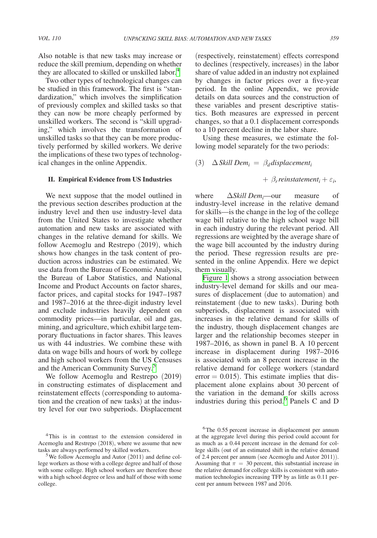Two other types of technological changes can be studied in this framework. The first is "standardization," which involves the simplification of previously complex and skilled tasks so that they can now be more cheaply performed by unskilled workers. The second is "skill upgrading," which involves the transformation of unskilled tasks so that they can be more productively performed by skilled workers. We derive the implications of these two types of technological changes in the online Appendix.

### **II. Empirical Evidence from US Industries**

We next suppose that the model outlined in the previous section describes production at the industry level and then use industry-level data from the United States to investigate whether automation and new tasks are associated with changes in the relative demand for skills. We follow Acemoglu and Restrepo (2019), which shows how changes in the task content of production across industries can be estimated. We use data from the Bureau of Economic Analysis, the Bureau of Labor Statistics, and National Income and Product Accounts on factor shares, factor prices, and capital stocks for 1947–1987 and 1987–2016 at the three-digit industry level and exclude industries heavily dependent on commodity prices—in particular, oil and gas, mining, and agriculture, which exhibit large temporary fluctuations in factor shares. This leaves us with 44 industries. We combine these with data on wage bills and hours of work by college and high school workers from the US Censuses and the American Community Survey.<sup>5</sup>

We follow Acemoglu and Restrepo (2019) in constructing estimates of displacement and reinstatement effects (corresponding to automation and the creation of new tasks) at the industry level for our two subperiods. Displacement (respectively, reinstatement) effects correspond to declines (respectively, increases) in the labor share of value added in an industry not explained by changes in factor prices over a five-year period. In the online Appendix, we provide details on data sources and the construction of these variables and present descriptive statistics. Both measures are expressed in percent changes, so that a 0.1 displacement corresponds to a 10 percent decline in the labor share.

Using these measures, we estimate the following model separately for the two periods:

(3) 
$$
\Delta
$$
 Skill Dem<sub>i</sub> =  $\beta_d$  displacement<sub>i</sub>

$$
+\beta_r
$$
reinstatement<sub>i</sub> +  $\varepsilon_i$ ,

where  $\Delta$ *Skill Dem<sub>i</sub>*—our measure of industry-level increase in the relative demand for skills—is the change in the log of the college wage bill relative to the high school wage bill in each industry during the relevant period. All regressions are weighted by the average share of the wage bill accounted by the industry during the period. These regression results are presented in the online Appendix. Here we depict them visually.

[Figure 1](#page-4-0) shows a strong association between industry-level demand for skills and our measures of displacement (due to automation) and reinstatement (due to new tasks). During both subperiods, displacement is associated with increases in the relative demand for skills of the industry, though displacement changes are larger and the relationship becomes steeper in 1987–2016, as shown in panel B. A 10 percent increase in displacement during 1987–2016 is associated with an 8 percent increase in the relative demand for college workers (standard  $error = 0.015$ . This estimate implies that displacement alone explains about 30 percent of the variation in the demand for skills across industries during this period.<sup>[6](#page-3-2)</sup> Panels C and D

<span id="page-3-0"></span><sup>&</sup>lt;sup>4</sup>This is in contrast to the extension considered in Acemoglu and Restrepo (2018), where we assume that new tasks are always performed by skilled workers.

<span id="page-3-1"></span><sup>&</sup>lt;sup>5</sup>We follow Acemoglu and Autor  $(2011)$  and define college workers as those with a college degree and half of those with some college. High school workers are therefore those with a high school degree or less and half of those with some college.

<span id="page-3-2"></span><sup>&</sup>lt;sup>6</sup>The 0.55 percent increase in displacement per annum at the aggregate level during this period could account for as much as a 0.44 percent increase in the demand for college skills (out of an estimated shift in the relative demand of 2.4 percent per annum (see Acemoglu and Autor 2011)). Assuming that  $\pi = 30$  percent, this substantial increase in the relative demand for college skills is consistent with automation technologies increasing TFP by as little as 0.11 percent per annum between 1987 and 2016.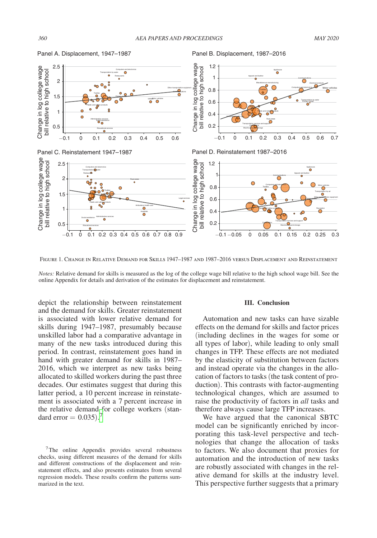

<span id="page-4-0"></span>Panel A. Displacement, 1947–1987

Panel B. Displacement, 1987–2016

Figure 1. Change in Relative Demand for Skills 1947–1987 and 1987–2016 versus Displacement and Reinstatement

*Notes:* Relative demand for skills is measured as the log of the college wage bill relative to the high school wage bill. See the online Appendix for details and derivation of the estimates for displacement and reinstatement.

depict the relationship between reinstatement and the demand for skills. Greater reinstatement is associated with lower relative demand for skills during 1947–1987, presumably because unskilled labor had a comparative advantage in many of the new tasks introduced during this period. In contrast, reinstatement goes hand in hand with greater demand for skills in 1987– 2016, which we interpret as new tasks being allocated to skilled workers during the past three decades. Our estimates suggest that during this latter period, a 10 percent increase in reinstatement is associated with a 7 percent increase in the relative demand for college workers (standard error  $= 0.035$ ).<sup>[7](#page-4-1)</sup>

<span id="page-4-1"></span>7The online Appendix provides several robustness checks, using different measures of the demand for skills and different constructions of the displacement and reinstatement effects, and also presents estimates from several regression models. These results confirm the patterns summarized in the text.

#### **III. Conclusion**

Automation and new tasks can have sizable effects on the demand for skills and factor prices (including declines in the wages for some or all types of labor), while leading to only small changes in TFP. These effects are not mediated by the elasticity of substitution between factors and instead operate via the changes in the allocation of factors to tasks (the task content of production). This contrasts with factor-augmenting technological changes, which are assumed to raise the productivity of factors in *all* tasks and therefore always cause large TFP increases.

We have argued that the canonical SBTC model can be significantly enriched by incorporating this task-level perspective and technologies that change the allocation of tasks to factors. We also document that proxies for automation and the introduction of new tasks are robustly associated with changes in the relative demand for skills at the industry level. This perspective further suggests that a primary